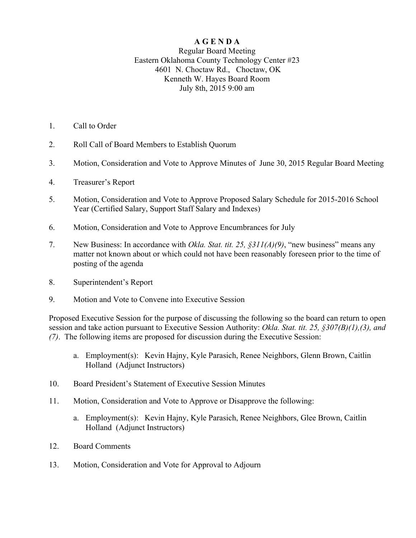## **A G E N D A**

## Regular Board Meeting Eastern Oklahoma County Technology Center #23 4601 N. Choctaw Rd., Choctaw, OK Kenneth W. Hayes Board Room July 8th, 2015 9:00 am

- 1. Call to Order
- 2. Roll Call of Board Members to Establish Quorum
- 3. Motion, Consideration and Vote to Approve Minutes of June 30, 2015 Regular Board Meeting
- 4. Treasurer's Report
- 5. Motion, Consideration and Vote to Approve Proposed Salary Schedule for 2015-2016 School Year (Certified Salary, Support Staff Salary and Indexes)
- 6. Motion, Consideration and Vote to Approve Encumbrances for July
- 7. New Business: In accordance with *Okla. Stat. tit. 25, §311(A)(9)*, "new business" means any matter not known about or which could not have been reasonably foreseen prior to the time of posting of the agenda
- 8. Superintendent's Report
- 9. Motion and Vote to Convene into Executive Session

Proposed Executive Session for the purpose of discussing the following so the board can return to open session and take action pursuant to Executive Session Authority: *Okla. Stat. tit. 25, §307(B)(1),(3), and (7)*. The following items are proposed for discussion during the Executive Session:

- a. Employment(s): Kevin Hajny, Kyle Parasich, Renee Neighbors, Glenn Brown, Caitlin Holland (Adjunct Instructors)
- 10. Board President's Statement of Executive Session Minutes
- 11. Motion, Consideration and Vote to Approve or Disapprove the following:
	- a. Employment(s): Kevin Hajny, Kyle Parasich, Renee Neighbors, Glee Brown, Caitlin Holland (Adjunct Instructors)
- 12. Board Comments
- 13. Motion, Consideration and Vote for Approval to Adjourn